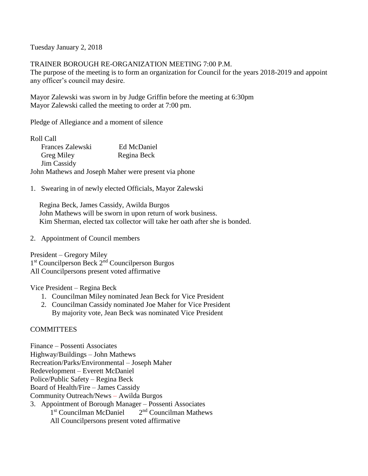Tuesday January 2, 2018

TRAINER BOROUGH RE-ORGANIZATION MEETING 7:00 P.M.

The purpose of the meeting is to form an organization for Council for the years 2018-2019 and appoint any officer's council may desire.

Mayor Zalewski was sworn in by Judge Griffin before the meeting at 6:30pm Mayor Zalewski called the meeting to order at 7:00 pm.

Pledge of Allegiance and a moment of silence

| Roll Call          |                                                      |
|--------------------|------------------------------------------------------|
| Frances Zalewski   | Ed McDaniel                                          |
| <b>Greg Miley</b>  | Regina Beck                                          |
| <b>Jim Cassidy</b> |                                                      |
|                    | John Mathews and Joseph Maher were present via phone |

1. Swearing in of newly elected Officials, Mayor Zalewski

 Regina Beck, James Cassidy, Awilda Burgos John Mathews will be sworn in upon return of work business. Kim Sherman, elected tax collector will take her oath after she is bonded.

2. Appointment of Council members

President – Gregory Miley 1<sup>st</sup> Councilperson Beck 2<sup>nd</sup> Councilperson Burgos All Councilpersons present voted affirmative

Vice President – Regina Beck

- 1. Councilman Miley nominated Jean Beck for Vice President
- 2. Councilman Cassidy nominated Joe Maher for Vice President By majority vote, Jean Beck was nominated Vice President

## **COMMITTEES**

Finance – Possenti Associates Highway/Buildings – John Mathews Recreation/Parks/Environmental – Joseph Maher Redevelopment – Everett McDaniel Police/Public Safety – Regina Beck Board of Health/Fire – James Cassidy Community Outreach/News – Awilda Burgos 3. Appointment of Borough Manager – Possenti Associates 1<sup>st</sup> Councilman McDaniel  $2<sup>nd</sup>$  Councilman Mathews All Councilpersons present voted affirmative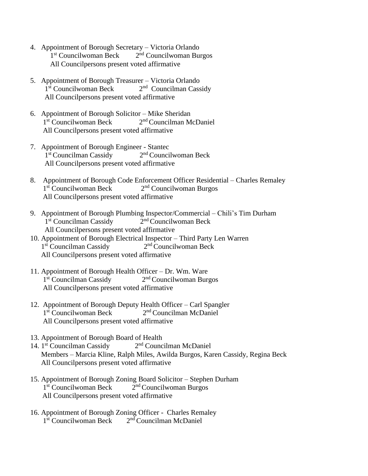- 4. Appointment of Borough Secretary Victoria Orlando 1<sup>st</sup> Councilwoman Beck 2  $2<sup>nd</sup>$  Councilwoman Burgos All Councilpersons present voted affirmative
- 5. Appointment of Borough Treasurer Victoria Orlando 1<sup>st</sup> Councilwoman Beck 2  $2<sup>nd</sup>$  Councilman Cassidy All Councilpersons present voted affirmative
- 6. Appointment of Borough Solicitor Mike Sheridan 1<sup>st</sup> Councilwoman Beck 2  $2<sup>nd</sup> Councilman McDaniel$ All Councilpersons present voted affirmative
- 7. Appointment of Borough Engineer Stantec 1<sup>st</sup> Councilman Cassidy 2  $2<sup>nd</sup>$  Councilwoman Beck All Councilpersons present voted affirmative
- 8. Appointment of Borough Code Enforcement Officer Residential Charles Remaley 1<sup>st</sup> Councilwoman Beck 2 2<sup>nd</sup> Councilwoman Burgos All Councilpersons present voted affirmative
- 9. Appointment of Borough Plumbing Inspector/Commercial Chili's Tim Durham 1<sup>st</sup> Councilman Cassidy 2  $2<sup>nd</sup>$  Councilwoman Beck All Councilpersons present voted affirmative
- 10. Appointment of Borough Electrical Inspector Third Party Len Warren 1<sup>st</sup> Councilman Cassidy 2 2<sup>nd</sup> Councilwoman Beck All Councilpersons present voted affirmative
- 11. Appointment of Borough Health Officer Dr. Wm. Ware 1<sup>st</sup> Councilman Cassidy 2  $2<sup>nd</sup>$  Councilwoman Burgos All Councilpersons present voted affirmative
- 12. Appointment of Borough Deputy Health Officer Carl Spangler 1<sup>st</sup> Councilwoman Beck 2  $2<sup>nd</sup> Councilman McDaniel$ All Councilpersons present voted affirmative
- 13. Appointment of Borough Board of Health
- 14. 1<sup>st</sup> Councilman Cassidy 2  $2<sup>nd</sup>$  Councilman McDaniel Members – Marcia Kline, Ralph Miles, Awilda Burgos, Karen Cassidy, Regina Beck All Councilpersons present voted affirmative
- 15. Appointment of Borough Zoning Board Solicitor Stephen Durham 1<sup>st</sup> Councilwoman Beck 2  $2<sup>nd</sup> Councilwoman Burgos$ All Councilpersons present voted affirmative
- 16. Appointment of Borough Zoning Officer Charles Remaley 1<sup>st</sup> Councilwoman Beck 2<sup>nd</sup> Councilman McDaniel